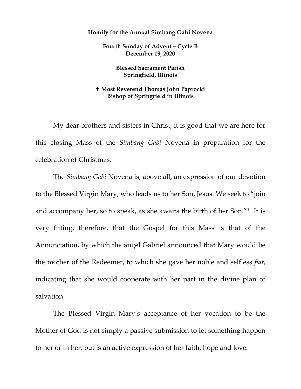## **Homily for the Annual Simbang Gabi Novena**

**Fourth Sunday of Advent – Cycle B December 19, 2020**

> **Blessed Sacrament Parish Springfield, Illinois**

## **Most Reverend Thomas John Paprocki Bishop of Springfield in Illinois**

My dear brothers and sisters in Christ, it is good that we are here for this closing Mass of the *Simbang Gabi* Novena in preparation for the celebration of Christmas.

The *Simbang Gabi* Novena is, above all, an expression of our devotion to the Blessed Virgin Mary, who leads us to her Son, Jesus. We seek to "join and accompany her, so to speak, as she awaits the birth of her Son."[1](#page-3-0) It is very fitting, therefore, that the Gospel for this Mass is that of the Annunciation, by which the angel Gabriel announced that Mary would be the mother of the Redeemer, to which she gave her noble and selfless *fiat*, indicating that she would cooperate with her part in the divine plan of salvation.

The Blessed Virgin Mary's acceptance of her vocation to be the Mother of God is not simply a passive submission to let something happen to her or in her, but is an active expression of her faith, hope and love.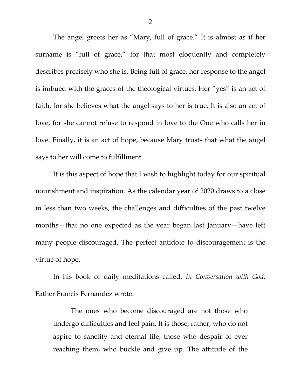The angel greets her as "Mary, full of grace." It is almost as if her surname is "full of grace," for that most eloquently and completely describes precisely who she is. Being full of grace, her response to the angel is imbued with the graces of the theological virtues. Her "yes" is an act of faith, for she believes what the angel says to her is true. It is also an act of love, for she cannot refuse to respond in love to the One who calls her in love. Finally, it is an act of hope, because Mary trusts that what the angel says to her will come to fulfillment.

It is this aspect of hope that I wish to highlight today for our spiritual nourishment and inspiration. As the calendar year of 2020 draws to a close in less than two weeks, the challenges and difficulties of the past twelve months—that no one expected as the year began last January—have left many people discouraged. The perfect antidote to discouragement is the virtue of hope.

In his book of daily meditations called, *In Conversation with God*, Father Francis Fernandez wrote:

The ones who become discouraged are not those who undergo difficulties and feel pain. It is those, rather, who do not aspire to sanctity and eternal life, those who despair of ever reaching them, who buckle and give up. The attitude of the

2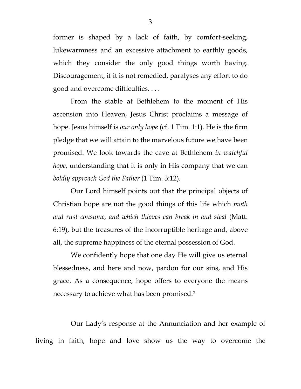former is shaped by a lack of faith, by comfort-seeking, lukewarmness and an excessive attachment to earthly goods, which they consider the only good things worth having. Discouragement, if it is not remedied, paralyses any effort to do good and overcome difficulties. . . .

From the stable at Bethlehem to the moment of His ascension into Heaven, Jesus Christ proclaims a message of hope. Jesus himself is *our only hope* (cf. 1 Tim. 1:1). He is the firm pledge that we will attain to the marvelous future we have been promised. We look towards the cave at Bethlehem *in watchful hope*, understanding that it is only in His company that we can *boldly approach God the Father* (1 Tim. 3:12).

Our Lord himself points out that the principal objects of Christian hope are not the good things of this life which *moth and rust consume, and which thieves can break in and steal* (Matt. 6:19), but the treasures of the incorruptible heritage and, above all, the supreme happiness of the eternal possession of God.

We confidently hope that one day He will give us eternal blessedness, and here and now, pardon for our sins, and His grace. As a consequence, hope offers to everyone the means necessary to achieve what has been promised.[2](#page-3-1)

Our Lady's response at the Annunciation and her example of living in faith, hope and love show us the way to overcome the